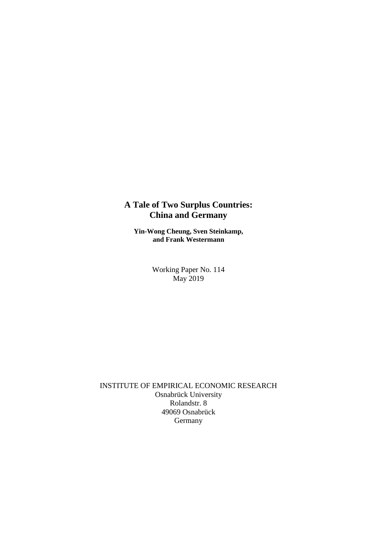# **A Tale of Two Surplus Countries: China and Germany**

**Yin-Wong Cheung, Sven Steinkamp, and Frank Westermann**

> Working Paper No. 114 May 2019

INSTITUTE OF EMPIRICAL ECONOMIC RESEARCH Osnabrück University Rolandstr. 8 49069 Osnabrück Germany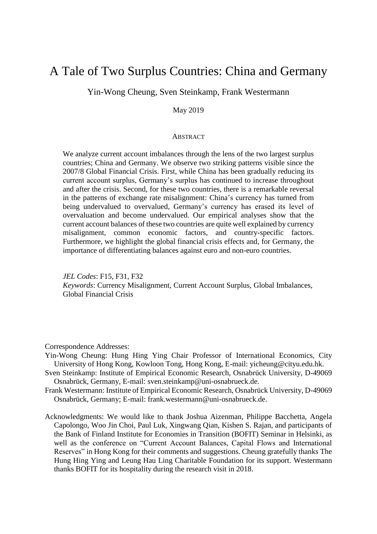# A Tale of Two Surplus Countries: China and Germany

# Yin-Wong Cheung, Sven Steinkamp, Frank Westermann

# May 2019

#### **ABSTRACT**

We analyze current account imbalances through the lens of the two largest surplus countries; China and Germany. We observe two striking patterns visible since the 2007/8 Global Financial Crisis. First, while China has been gradually reducing its current account surplus, Germany's surplus has continued to increase throughout and after the crisis. Second, for these two countries, there is a remarkable reversal in the patterns of exchange rate misalignment: China's currency has turned from being undervalued to overvalued, Germany's currency has erased its level of overvaluation and become undervalued. Our empirical analyses show that the current account balances of these two countries are quite well explained by currency misalignment, common economic factors, and country-specific factors. Furthermore, we highlight the global financial crisis effects and, for Germany, the importance of differentiating balances against euro and non-euro countries.

*JEL Codes*: F15, F31, F32 *Keywords*: Currency Misalignment, Current Account Surplus, Global Imbalances, Global Financial Crisis

Correspondence Addresses:

- Yin-Wong Cheung: Hung Hing Ying Chair Professor of International Economics, City University of Hong Kong, Kowloon Tong, Hong Kong, E-mail: yicheung@cityu.edu.hk.
- Sven Steinkamp: Institute of Empirical Economic Research, Osnabrück University, D-49069 Osnabrück, Germany, E-mail: sven.steinkamp@uni-osnabrueck.de.
- Frank Westermann: Institute of Empirical Economic Research, Osnabrück University, D-49069 Osnabrück, Germany; E-mail: frank.westermann@uni-osnabrueck.de.
- Acknowledgments: We would like to thank Joshua Aizenman, Philippe Bacchetta, Angela Capolongo, Woo Jin Choi, Paul Luk, Xingwang Qian, Kishen S. Rajan, and participants of the Bank of Finland Institute for Economies in Transition (BOFIT) Seminar in Helsinki, as well as the conference on "Current Account Balances, Capital Flows and International Reserves" in Hong Kong for their comments and suggestions. Cheung gratefully thanks The Hung Hing Ying and Leung Hau Ling Charitable Foundation for its support. Westermann thanks BOFIT for its hospitality during the research visit in 2018.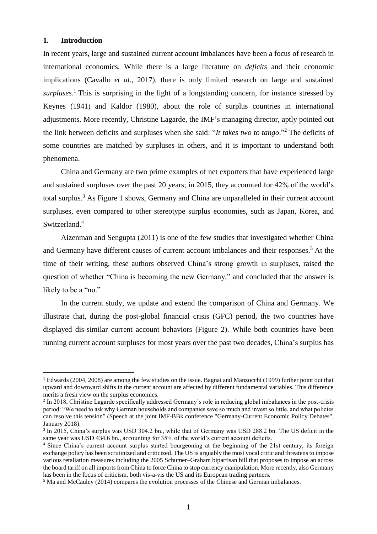# **1. Introduction**

 $\overline{a}$ 

In recent years, large and sustained current account imbalances have been a focus of research in international economics. While there is a large literature on *deficits* and their economic implications (Cavallo *et al*., 2017), there is only limited research on large and sustained *surpluses*. <sup>1</sup> This is surprising in the light of a longstanding concern, for instance stressed by Keynes (1941) and Kaldor (1980), about the role of surplus countries in international adjustments. More recently, Christine Lagarde, the IMF's managing director, aptly pointed out the link between deficits and surpluses when she said: "*It takes two to tango*." <sup>2</sup> The deficits of some countries are matched by surpluses in others, and it is important to understand both phenomena.

China and Germany are two prime examples of net exporters that have experienced large and sustained surpluses over the past 20 years; in 2015, they accounted for 42% of the world's total surplus.<sup>3</sup> As Figure 1 shows, Germany and China are unparalleled in their current account surpluses, even compared to other stereotype surplus economies, such as Japan, Korea, and Switzerland.<sup>4</sup>

Aizenman and Sengupta (2011) is one of the few studies that investigated whether China and Germany have different causes of current account imbalances and their responses. <sup>5</sup> At the time of their writing, these authors observed China's strong growth in surpluses, raised the question of whether "China is becoming the new Germany," and concluded that the answer is likely to be a "no."

In the current study, we update and extend the comparison of China and Germany. We illustrate that, during the post-global financial crisis (GFC) period, the two countries have displayed dis-similar current account behaviors (Figure 2). While both countries have been running current account surpluses for most years over the past two decades, China's surplus has

 $1$  Edwards (2004, 2008) are among the few studies on the issue. Bagnai and Manzocchi (1999) further point out that upward and downward shifts in the current account are affected by different fundamental variables. This difference merits a fresh view on the surplus economies.

<sup>&</sup>lt;sup>2</sup> In 2018, Christine Lagarde specifically addressed Germany's role in reducing global imbalances in the post-crisis period: "We need to ask why German households and companies save so much and invest so little, and what policies can resolve this tension" (Speech at the joint IMF-BBk conference "Germany-Current Economic Policy Debates", January 2018).

<sup>&</sup>lt;sup>3</sup> In 2015, China's surplus was USD 304.2 bn., while that of Germany was USD 288.2 bn. The US deficit in the same year was USD 434.6 bn., accounting for 35% of the world's current account deficits.

<sup>4</sup> Since China's current account surplus started bourgeoning at the beginning of the 21st century, its foreign exchange policy has been scrutinized and criticized. The US is arguably the most vocal critic and threatens to impose various retaliation measures including the 2005 Schumer–Graham bipartisan bill that proposes to impose an across the board tariff on all imports from China to force China to stop currency manipulation. More recently, also Germany has been in the focus of criticism, both vis-a-vis the US and its European trading partners.

<sup>5</sup> Ma and McCauley (2014) compares the evolution processes of the Chinese and German imbalances.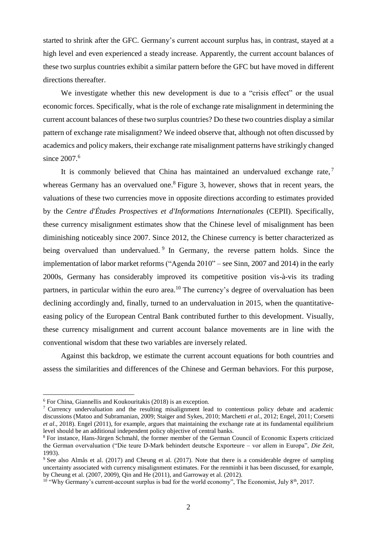started to shrink after the GFC. Germany's current account surplus has, in contrast, stayed at a high level and even experienced a steady increase. Apparently, the current account balances of these two surplus countries exhibit a similar pattern before the GFC but have moved in different directions thereafter.

We investigate whether this new development is due to a "crisis effect" or the usual economic forces. Specifically, what is the role of exchange rate misalignment in determining the current account balances of these two surplus countries? Do these two countries display a similar pattern of exchange rate misalignment? We indeed observe that, although not often discussed by academics and policy makers, their exchange rate misalignment patterns have strikingly changed since 2007. 6

It is commonly believed that China has maintained an undervalued exchange rate,  $7$ whereas Germany has an overvalued one.<sup>8</sup> Figure 3, however, shows that in recent years, the valuations of these two currencies move in opposite directions according to estimates provided by the *Centre d'Études Prospectives et d'Informations Internationales* (CEPII). Specifically, these currency misalignment estimates show that the Chinese level of misalignment has been diminishing noticeably since 2007. Since 2012, the Chinese currency is better characterized as being overvalued than undervalued. <sup>9</sup> In Germany, the reverse pattern holds. Since the implementation of labor market reforms ("Agenda 2010" – see Sinn, 2007 and 2014) in the early 2000s, Germany has considerably improved its competitive position vis-à-vis its trading partners, in particular within the euro area.<sup>10</sup> The currency's degree of overvaluation has been declining accordingly and, finally, turned to an undervaluation in 2015, when the quantitativeeasing policy of the European Central Bank contributed further to this development. Visually, these currency misalignment and current account balance movements are in line with the conventional wisdom that these two variables are inversely related.

Against this backdrop, we estimate the current account equations for both countries and assess the similarities and differences of the Chinese and German behaviors. For this purpose,

 $6$  For China, Giannellis and Koukouritakis (2018) is an exception.

<sup>7</sup> Currency undervaluation and the resulting misalignment lead to contentious policy debate and academic discussions (Matoo and Subramanian, 2009; Staiger and Sykes, 2010; Marchetti *et al*., 2012; Engel, 2011; Corsetti *et al*., 2018). Engel (2011), for example, argues that maintaining the exchange rate at its fundamental equilibrium level should be an additional independent policy objective of central banks.

<sup>8</sup> For instance, Hans-Jürgen Schmahl, the former member of the German Council of Economic Experts criticized the German overvaluation ("Die teure D-Mark behindert deutsche Exporteure – vor allem in Europa", *Die Zeit*, 1993).

<sup>9</sup> See also Almås et al. (2017) and Cheung et al. (2017). Note that there is a considerable degree of sampling uncertainty associated with currency misalignment estimates. For the renminbi it has been discussed, for example, by Cheung et al. (2007, 2009), Qin and He (2011), and Garroway et al. (2012).

 $10$  "Why Germany's current-account surplus is bad for the world economy", The Economist, July 8<sup>th</sup>, 2017.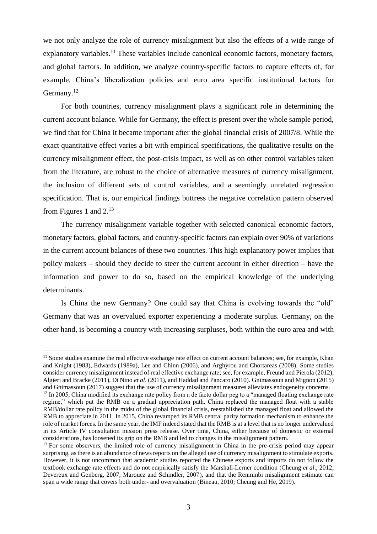we not only analyze the role of currency misalignment but also the effects of a wide range of explanatory variables.<sup>11</sup> These variables include canonical economic factors, monetary factors, and global factors. In addition, we analyze country-specific factors to capture effects of, for example, China's liberalization policies and euro area specific institutional factors for Germany.<sup>12</sup>

For both countries, currency misalignment plays a significant role in determining the current account balance. While for Germany, the effect is present over the whole sample period, we find that for China it became important after the global financial crisis of 2007/8. While the exact quantitative effect varies a bit with empirical specifications, the qualitative results on the currency misalignment effect, the post-crisis impact, as well as on other control variables taken from the literature, are robust to the choice of alternative measures of currency misalignment, the inclusion of different sets of control variables, and a seemingly unrelated regression specification. That is, our empirical findings buttress the negative correlation pattern observed from Figures 1 and 2.<sup>13</sup>

The currency misalignment variable together with selected canonical economic factors, monetary factors, global factors, and country-specific factors can explain over 90% of variations in the current account balances of these two countries. This high explanatory power implies that policy makers – should they decide to steer the current account in either direction – have the information and power to do so, based on the empirical knowledge of the underlying determinants.

Is China the new Germany? One could say that China is evolving towards the "old" Germany that was an overvalued exporter experiencing a moderate surplus. Germany, on the other hand, is becoming a country with increasing surpluses, both within the euro area and with

 $11$  Some studies examine the real effective exchange rate effect on current account balances; see, for example, Khan and Knight (1983), Edwards (1989a), Lee and Chinn (2006), and Arghyrou and Chortareas (2008). Some studies consider currency misalignment instead of real effective exchange rate; see, for example, Freund and Pierola (2012), Algieri and Bracke (2011), Di Nino *et al*. (2011), and Haddad and Pancaro (2010). Gnimassoun and Mignon (2015) and Gnimassoun (2017) suggest that the use of currency misalignment measures alleviates endogeneity concerns.

 $12$  In 2005, China modified its exchange rate policy from a de facto dollar peg to a "managed floating exchange rate regime," which put the RMB on a gradual appreciation path. China replaced the managed float with a stable RMB/dollar rate policy in the midst of the global financial crisis, reestablished the managed float and allowed the RMB to appreciate in 2011. In 2015, China revamped its RMB central parity formation mechanism to enhance the role of market forces. In the same year, the IMF indeed stated that the RMB is at a level that is no longer undervalued in its Article IV consultation mission press release. Over time, China, either because of domestic or external considerations, has loosened its grip on the RMB and led to changes in the misalignment pattern.

<sup>&</sup>lt;sup>13</sup> For some observers, the limited role of currency misalignment in China in the pre-crisis period may appear surprising, as there is an abundance of news reports on the alleged use of currency misalignment to stimulate exports. However, it is not uncommon that academic studies reported the Chinese exports and imports do not follow the textbook exchange rate effects and do not empirically satisfy the Marshall-Lerner condition (Cheung *et al*., 2012; Devereux and Genberg, 2007; Marquez and Schindler, 2007), and that the Renminbi misalignment estimate can span a wide range that covers both under- and overvaluation (Bineau, 2010; Cheung and He, 2019).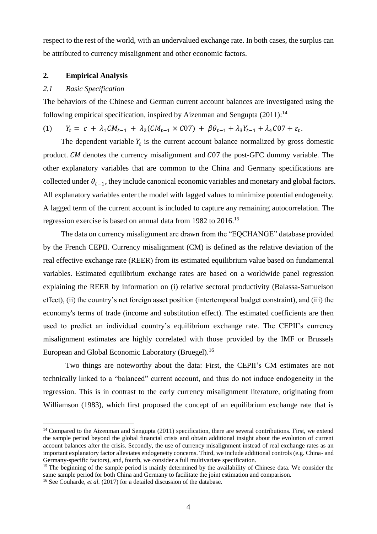respect to the rest of the world, with an undervalued exchange rate. In both cases, the surplus can be attributed to currency misalignment and other economic factors.

### **2. Empirical Analysis**

# *2.1 Basic Specification*

The behaviors of the Chinese and German current account balances are investigated using the following empirical specification, inspired by Aizenman and Sengupta (2011):<sup>14</sup>

# (1)  $Y_t = c + \lambda_1 C M_{t-1} + \lambda_2 (C M_{t-1} \times C 07) + \beta \theta_{t-1} + \lambda_3 Y_{t-1} + \lambda_4 C 07 + \varepsilon_t$

The dependent variable  $Y_t$  is the current account balance normalized by gross domestic product. CM denotes the currency misalignment and C07 the post-GFC dummy variable. The other explanatory variables that are common to the China and Germany specifications are collected under  $\theta_{t-1}$ , they include canonical economic variables and monetary and global factors. All explanatory variables enter the model with lagged values to minimize potential endogeneity. A lagged term of the current account is included to capture any remaining autocorrelation. The regression exercise is based on annual data from 1982 to 2016.<sup>15</sup>

The data on currency misalignment are drawn from the "EQCHANGE" database provided by the French CEPII. Currency misalignment (CM) is defined as the relative deviation of the real effective exchange rate (REER) from its estimated equilibrium value based on fundamental variables. Estimated equilibrium exchange rates are based on a worldwide panel regression explaining the REER by information on (i) relative sectoral productivity (Balassa-Samuelson effect), (ii) the country's net foreign asset position (intertemporal budget constraint), and (iii) the economy's terms of trade (income and substitution effect). The estimated coefficients are then used to predict an individual country's equilibrium exchange rate. The CEPII's currency misalignment estimates are highly correlated with those provided by the IMF or Brussels European and Global Economic Laboratory (Bruegel).<sup>16</sup>

Two things are noteworthy about the data: First, the CEPII's CM estimates are not technically linked to a "balanced" current account, and thus do not induce endogeneity in the regression. This is in contrast to the early currency misalignment literature, originating from Williamson (1983), which first proposed the concept of an equilibrium exchange rate that is

 $14$  Compared to the Aizenman and Sengupta (2011) specification, there are several contributions. First, we extend the sample period beyond the global financial crisis and obtain additional insight about the evolution of current account balances after the crisis. Secondly, the use of currency misalignment instead of real exchange rates as an important explanatory factor alleviates endogeneity concerns. Third, we include additional controls (e.g. China- and Germany-specific factors), and, fourth, we consider a full multivariate specification.

<sup>&</sup>lt;sup>15</sup> The beginning of the sample period is mainly determined by the availability of Chinese data. We consider the same sample period for both China and Germany to facilitate the joint estimation and comparison.

<sup>&</sup>lt;sup>16</sup> See Couharde, *et al.* (2017) for a detailed discussion of the database.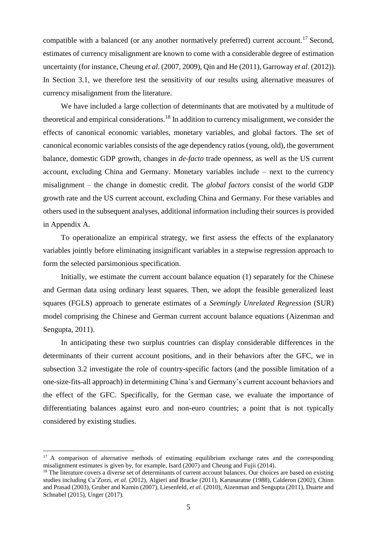compatible with a balanced (or any another normatively preferred) current account.<sup>17</sup> Second, estimates of currency misalignment are known to come with a considerable degree of estimation uncertainty (for instance, Cheung *et al*. (2007, 2009), Qin and He (2011), Garroway *et al*. (2012)). In Section 3.1, we therefore test the sensitivity of our results using alternative measures of currency misalignment from the literature.

We have included a large collection of determinants that are motivated by a multitude of theoretical and empirical considerations.<sup>18</sup> In addition to currency misalignment, we consider the effects of canonical economic variables, monetary variables, and global factors. The set of canonical economic variables consists of the age dependency ratios (young, old), the government balance, domestic GDP growth, changes in *de-facto* trade openness, as well as the US current account, excluding China and Germany. Monetary variables include – next to the currency misalignment – the change in domestic credit. The *global factors* consist of the world GDP growth rate and the US current account, excluding China and Germany. For these variables and others used in the subsequent analyses, additional information including their sources is provided in Appendix A.

To operationalize an empirical strategy, we first assess the effects of the explanatory variables jointly before eliminating insignificant variables in a stepwise regression approach to form the selected parsimonious specification.

Initially, we estimate the current account balance equation (1) separately for the Chinese and German data using ordinary least squares. Then, we adopt the feasible generalized least squares (FGLS) approach to generate estimates of a *Seemingly Unrelated Regression* (SUR) model comprising the Chinese and German current account balance equations (Aizenman and Sengupta, 2011).

In anticipating these two surplus countries can display considerable differences in the determinants of their current account positions, and in their behaviors after the GFC, we in subsection 3.2 investigate the role of country-specific factors (and the possible limitation of a one-size-fits-all approach) in determining China's and Germany's current account behaviors and the effect of the GFC. Specifically, for the German case, we evaluate the importance of differentiating balances against euro and non-euro countries; a point that is not typically considered by existing studies.

<sup>&</sup>lt;sup>17</sup> A comparison of alternative methods of estimating equilibrium exchange rates and the corresponding misalignment estimates is given by, for example, Isard (2007) and Cheung and Fujii (2014).

<sup>&</sup>lt;sup>18</sup> The literature covers a diverse set of determinants of current account balances. Our choices are based on existing studies including Ca'Zorzi, *et al.* (2012), Algieri and Bracke (2011), Karunaratne (1988), Calderon (2002), Chinn and Prasad (2003), Gruber and Kamin (2007), Liesenfeld, *et al.* (2010), Aizenman and Sengupta (2011), Duarte and Schnabel (2015), Unger (2017).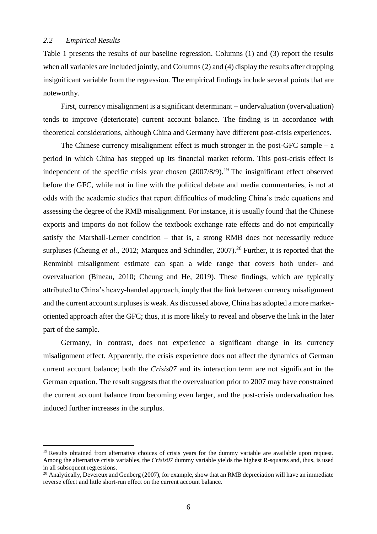$\overline{a}$ 

Table 1 presents the results of our baseline regression. Columns (1) and (3) report the results when all variables are included jointly, and Columns (2) and (4) display the results after dropping insignificant variable from the regression. The empirical findings include several points that are noteworthy.

First, currency misalignment is a significant determinant – undervaluation (overvaluation) tends to improve (deteriorate) current account balance. The finding is in accordance with theoretical considerations, although China and Germany have different post-crisis experiences.

The Chinese currency misalignment effect is much stronger in the post-GFC sample  $- a$ period in which China has stepped up its financial market reform. This post-crisis effect is independent of the specific crisis year chosen (2007/8/9).<sup>19</sup> The insignificant effect observed before the GFC, while not in line with the political debate and media commentaries, is not at odds with the academic studies that report difficulties of modeling China's trade equations and assessing the degree of the RMB misalignment. For instance, it is usually found that the Chinese exports and imports do not follow the textbook exchange rate effects and do not empirically satisfy the Marshall-Lerner condition – that is, a strong RMB does not necessarily reduce surpluses (Cheung *et al.*, 2012; Marquez and Schindler, 2007).<sup>20</sup> Further, it is reported that the Renminbi misalignment estimate can span a wide range that covers both under- and overvaluation (Bineau, 2010; Cheung and He, 2019). These findings, which are typically attributed to China's heavy-handed approach, imply that the link between currency misalignment and the current account surpluses is weak. As discussed above, China has adopted a more marketoriented approach after the GFC; thus, it is more likely to reveal and observe the link in the later part of the sample.

Germany, in contrast, does not experience a significant change in its currency misalignment effect. Apparently, the crisis experience does not affect the dynamics of German current account balance; both the *Crisis07* and its interaction term are not significant in the German equation. The result suggests that the overvaluation prior to 2007 may have constrained the current account balance from becoming even larger, and the post-crisis undervaluation has induced further increases in the surplus.

<sup>&</sup>lt;sup>19</sup> Results obtained from alternative choices of crisis years for the dummy variable are available upon request. Among the alternative crisis variables, the *Crisis07* dummy variable yields the highest R-squares and, thus, is used in all subsequent regressions.

<sup>&</sup>lt;sup>20</sup> Analytically, Devereux and Genberg (2007), for example, show that an RMB depreciation will have an immediate reverse effect and little short-run effect on the current account balance.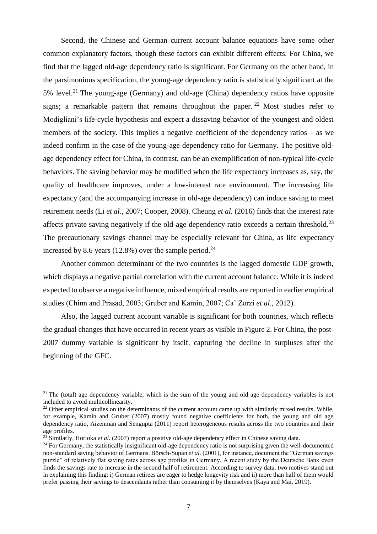Second, the Chinese and German current account balance equations have some other common explanatory factors, though these factors can exhibit different effects. For China, we find that the lagged old-age dependency ratio is significant. For Germany on the other hand, in the parsimonious specification, the young-age dependency ratio is statistically significant at the 5% level.<sup>21</sup> The young-age (Germany) and old-age (China) dependency ratios have opposite signs; a remarkable pattern that remains throughout the paper.<sup>22</sup> Most studies refer to Modigliani's life-cycle hypothesis and expect a dissaving behavior of the youngest and oldest members of the society. This implies a negative coefficient of the dependency ratios – as we indeed confirm in the case of the young-age dependency ratio for Germany. The positive oldage dependency effect for China, in contrast, can be an exemplification of non-typical life-cycle behaviors. The saving behavior may be modified when the life expectancy increases as, say, the quality of healthcare improves, under a low-interest rate environment. The increasing life expectancy (and the accompanying increase in old-age dependency) can induce saving to meet retirement needs (Li *et al*., 2007; Cooper, 2008). Cheung *et al.* (2016) finds that the interest rate affects private saving negatively if the old-age dependency ratio exceeds a certain threshold.<sup>23</sup> The precautionary savings channel may be especially relevant for China, as life expectancy increased by 8.6 years (12.8%) over the sample period.<sup>24</sup>

Another common determinant of the two countries is the lagged domestic GDP growth, which displays a negative partial correlation with the current account balance. While it is indeed expected to observe a negative influence, mixed empirical results are reported in earlier empirical studies (Chinn and Prasad, 2003; Gruber and Kamin, 2007; Ca' Zorzi *et al*., 2012).

Also, the lagged current account variable is significant for both countries, which reflects the gradual changes that have occurred in recent years as visible in Figure 2. For China, the post-2007 dummy variable is significant by itself, capturing the decline in surpluses after the beginning of the GFC.

<sup>&</sup>lt;sup>21</sup> The (total) age dependency variable, which is the sum of the young and old age dependency variables is not included to avoid multicollinearity.

 $^{22}$  Other empirical studies on the determinants of the current account came up with similarly mixed results. While, for example, Kamin and Gruber (2007) mostly found negative coefficients for both, the young and old age dependency ratio, Aizenman and Sengupta (2011) report heterogeneous results across the two countries and their age profiles.

<sup>23</sup> Similarly, Horioka *et al.* (2007) report a positive old-age dependency effect in Chinese saving data.

 $24$  For Germany, the statistically insignificant old-age dependency ratio is not surprising given the well-documented non-standard saving behavior of Germans. Börsch-Supan *et al.* (2001), for instance, document the "German savings puzzle" of relatively flat saving rates across age profiles in Germany. A recent study by the Deutsche Bank even finds the savings rate to increase in the second half of retirement. According to survey data, two motives stand out in explaining this finding: i) German retirees are eager to hedge longevity risk and ii) more than half of them would prefer passing their savings to descendants rather than consuming it by themselves (Kaya and Mai, 2019).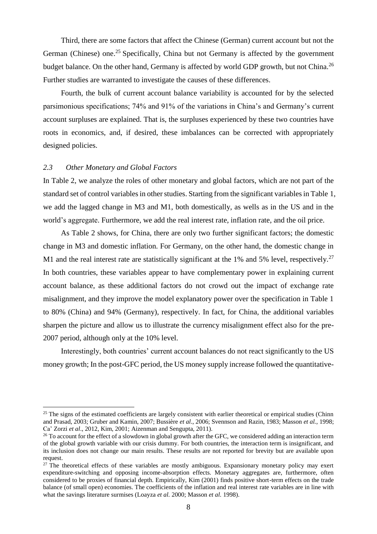Third, there are some factors that affect the Chinese (German) current account but not the German (Chinese) one.<sup>25</sup> Specifically, China but not Germany is affected by the government budget balance. On the other hand, Germany is affected by world GDP growth, but not China.<sup>26</sup> Further studies are warranted to investigate the causes of these differences.

Fourth, the bulk of current account balance variability is accounted for by the selected parsimonious specifications; 74% and 91% of the variations in China's and Germany's current account surpluses are explained. That is, the surpluses experienced by these two countries have roots in economics, and, if desired, these imbalances can be corrected with appropriately designed policies.

### *2.3 Other Monetary and Global Factors*

 $\overline{a}$ 

In Table 2, we analyze the roles of other monetary and global factors, which are not part of the standard set of control variables in other studies. Starting from the significant variables in Table 1, we add the lagged change in M3 and M1, both domestically, as wells as in the US and in the world's aggregate. Furthermore, we add the real interest rate, inflation rate, and the oil price.

As Table 2 shows, for China, there are only two further significant factors; the domestic change in M3 and domestic inflation. For Germany, on the other hand, the domestic change in M1 and the real interest rate are statistically significant at the 1% and 5% level, respectively.<sup>27</sup> In both countries, these variables appear to have complementary power in explaining current account balance, as these additional factors do not crowd out the impact of exchange rate misalignment, and they improve the model explanatory power over the specification in Table 1 to 80% (China) and 94% (Germany), respectively. In fact, for China, the additional variables sharpen the picture and allow us to illustrate the currency misalignment effect also for the pre-2007 period, although only at the 10% level.

Interestingly, both countries' current account balances do not react significantly to the US money growth; In the post-GFC period, the US money supply increase followed the quantitative-

 $25$  The signs of the estimated coefficients are largely consistent with earlier theoretical or empirical studies (Chinn and Prasad, 2003; Gruber and Kamin, 2007; Bussière *et al*., 2006; Svennson and Razin, 1983; Masson *et al.*, 1998; Ca' Zorzi *et al*., 2012, Kim, 2001; Aizenman and Sengupta, 2011).

<sup>&</sup>lt;sup>26</sup> To account for the effect of a slowdown in global growth after the GFC, we considered adding an interaction term of the global growth variable with our crisis dummy. For both countries, the interaction term is insignificant, and its inclusion does not change our main results. These results are not reported for brevity but are available upon request.

 $27$  The theoretical effects of these variables are mostly ambiguous. Expansionary monetary policy may exert expenditure-switching and opposing income-absorption effects. Monetary aggregates are, furthermore, often considered to be proxies of financial depth. Empirically, Kim (2001) finds positive short-term effects on the trade balance (of small open) economies. The coefficients of the inflation and real interest rate variables are in line with what the savings literature surmises (Loayza *et al.* 2000; Masson *et al.* 1998).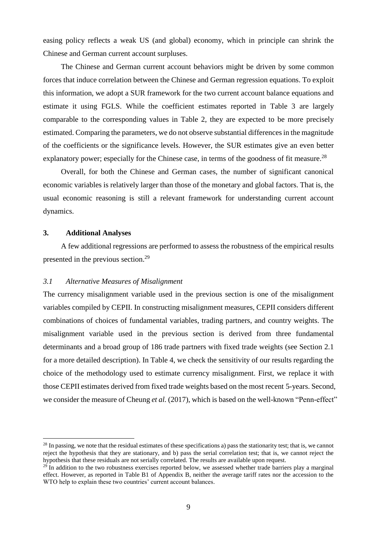easing policy reflects a weak US (and global) economy, which in principle can shrink the Chinese and German current account surpluses.

The Chinese and German current account behaviors might be driven by some common forces that induce correlation between the Chinese and German regression equations. To exploit this information, we adopt a SUR framework for the two current account balance equations and estimate it using FGLS. While the coefficient estimates reported in Table 3 are largely comparable to the corresponding values in Table 2, they are expected to be more precisely estimated. Comparing the parameters, we do not observe substantial differences in the magnitude of the coefficients or the significance levels. However, the SUR estimates give an even better explanatory power; especially for the Chinese case, in terms of the goodness of fit measure.<sup>28</sup>

Overall, for both the Chinese and German cases, the number of significant canonical economic variables is relatively larger than those of the monetary and global factors. That is, the usual economic reasoning is still a relevant framework for understanding current account dynamics.

# **3. Additional Analyses**

 $\overline{a}$ 

A few additional regressions are performed to assess the robustness of the empirical results presented in the previous section.<sup>29</sup>

# *3.1 Alternative Measures of Misalignment*

The currency misalignment variable used in the previous section is one of the misalignment variables compiled by CEPII. In constructing misalignment measures, CEPII considers different combinations of choices of fundamental variables, trading partners, and country weights. The misalignment variable used in the previous section is derived from three fundamental determinants and a broad group of 186 trade partners with fixed trade weights (see Section 2.1 for a more detailed description). In Table 4, we check the sensitivity of our results regarding the choice of the methodology used to estimate currency misalignment. First, we replace it with those CEPII estimates derived from fixed trade weights based on the most recent 5-years. Second, we consider the measure of Cheung *et al.* (2017), which is based on the well-known "Penn-effect"

<sup>&</sup>lt;sup>28</sup> In passing, we note that the residual estimates of these specifications a) pass the stationarity test; that is, we cannot reject the hypothesis that they are stationary, and b) pass the serial correlation test; that is, we cannot reject the hypothesis that these residuals are not serially correlated. The results are available upon request.

<sup>&</sup>lt;sup>29</sup> In addition to the two robustness exercises reported below, we assessed whether trade barriers play a marginal effect. However, as reported in Table B1 of Appendix B, neither the average tariff rates nor the accession to the WTO help to explain these two countries' current account balances.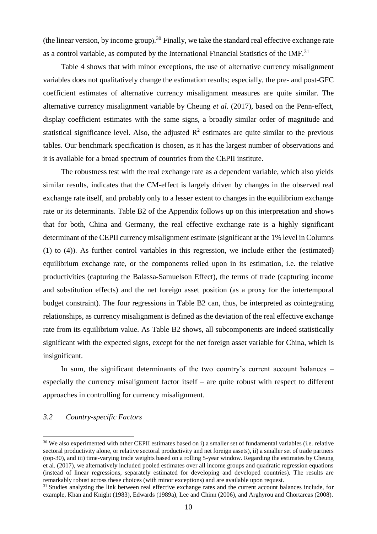(the linear version, by income group).<sup>30</sup> Finally, we take the standard real effective exchange rate as a control variable, as computed by the International Financial Statistics of the IMF.<sup>31</sup>

Table 4 shows that with minor exceptions, the use of alternative currency misalignment variables does not qualitatively change the estimation results; especially, the pre- and post-GFC coefficient estimates of alternative currency misalignment measures are quite similar. The alternative currency misalignment variable by Cheung *et al.* (2017), based on the Penn-effect, display coefficient estimates with the same signs, a broadly similar order of magnitude and statistical significance level. Also, the adjusted  $\mathbb{R}^2$  estimates are quite similar to the previous tables. Our benchmark specification is chosen, as it has the largest number of observations and it is available for a broad spectrum of countries from the CEPII institute.

The robustness test with the real exchange rate as a dependent variable, which also yields similar results, indicates that the CM-effect is largely driven by changes in the observed real exchange rate itself, and probably only to a lesser extent to changes in the equilibrium exchange rate or its determinants. Table B2 of the Appendix follows up on this interpretation and shows that for both, China and Germany, the real effective exchange rate is a highly significant determinant of the CEPII currency misalignment estimate (significant at the 1% level in Columns (1) to (4)). As further control variables in this regression, we include either the (estimated) equilibrium exchange rate, or the components relied upon in its estimation, i.e. the relative productivities (capturing the Balassa-Samuelson Effect), the terms of trade (capturing income and substitution effects) and the net foreign asset position (as a proxy for the intertemporal budget constraint). The four regressions in Table B2 can, thus, be interpreted as cointegrating relationships, as currency misalignment is defined as the deviation of the real effective exchange rate from its equilibrium value. As Table B2 shows, all subcomponents are indeed statistically significant with the expected signs, except for the net foreign asset variable for China, which is insignificant.

In sum, the significant determinants of the two country's current account balances – especially the currency misalignment factor itself – are quite robust with respect to different approaches in controlling for currency misalignment.

# *3.2 Country-specific Factors*

<sup>&</sup>lt;sup>30</sup> We also experimented with other CEPII estimates based on i) a smaller set of fundamental variables (i.e. relative sectoral productivity alone, or relative sectoral productivity and net foreign assets), ii) a smaller set of trade partners (top-30), and iii) time-varying trade weights based on a rolling 5-year window. Regarding the estimates by Cheung et al. (2017), we alternatively included pooled estimates over all income groups and quadratic regression equations (instead of linear regressions, separately estimated for developing and developed countries). The results are remarkably robust across these choices (with minor exceptions) and are available upon request.

<sup>&</sup>lt;sup>31</sup> Studies analyzing the link between real effective exchange rates and the current account balances include, for example, Khan and Knight (1983), Edwards (1989a), Lee and Chinn (2006), and Arghyrou and Chortareas (2008).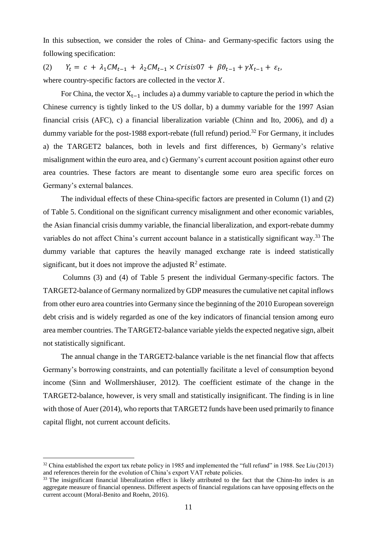In this subsection, we consider the roles of China- and Germany-specific factors using the following specification:

(2)  $Y_t = c + \lambda_1 C M_{t-1} + \lambda_2 C M_{t-1} \times Crisis07 + \beta \theta_{t-1} + \gamma X_{t-1} + \varepsilon_t,$ where country-specific factors are collected in the vector  $X$ .

For China, the vector  $X_{t-1}$  includes a) a dummy variable to capture the period in which the Chinese currency is tightly linked to the US dollar, b) a dummy variable for the 1997 Asian financial crisis (AFC), c) a financial liberalization variable (Chinn and Ito, 2006), and d) a dummy variable for the post-1988 export-rebate (full refund) period.<sup>32</sup> For Germany, it includes a) the TARGET2 balances, both in levels and first differences, b) Germany's relative misalignment within the euro area, and c) Germany's current account position against other euro area countries. These factors are meant to disentangle some euro area specific forces on Germany's external balances.

The individual effects of these China-specific factors are presented in Column (1) and (2) of Table 5. Conditional on the significant currency misalignment and other economic variables, the Asian financial crisis dummy variable, the financial liberalization, and export-rebate dummy variables do not affect China's current account balance in a statistically significant way.<sup>33</sup> The dummy variable that captures the heavily managed exchange rate is indeed statistically significant, but it does not improve the adjusted  $\mathbb{R}^2$  estimate.

Columns (3) and (4) of Table 5 present the individual Germany-specific factors. The TARGET2-balance of Germany normalized by GDP measures the cumulative net capital inflows from other euro area countries into Germany since the beginning of the 2010 European sovereign debt crisis and is widely regarded as one of the key indicators of financial tension among euro area member countries. The TARGET2-balance variable yields the expected negative sign, albeit not statistically significant.

The annual change in the TARGET2-balance variable is the net financial flow that affects Germany's borrowing constraints, and can potentially facilitate a level of consumption beyond income (Sinn and Wollmershäuser, 2012). The coefficient estimate of the change in the TARGET2-balance, however, is very small and statistically insignificant. The finding is in line with those of Auer (2014), who reports that TARGET2 funds have been used primarily to finance capital flight, not current account deficits.

 $32$  China established the export tax rebate policy in 1985 and implemented the "full refund" in 1988. See Liu (2013) and references therein for the evolution of China's export VAT rebate policies.

<sup>&</sup>lt;sup>33</sup> The insignificant financial liberalization effect is likely attributed to the fact that the Chinn-Ito index is an aggregate measure of financial openness. Different aspects of financial regulations can have opposing effects on the current account (Moral-Benito and Roehn, 2016).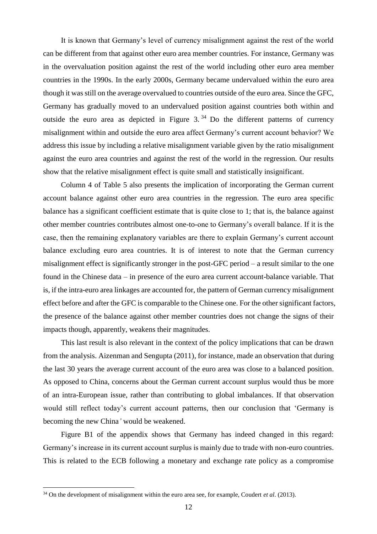It is known that Germany's level of currency misalignment against the rest of the world can be different from that against other euro area member countries. For instance, Germany was in the overvaluation position against the rest of the world including other euro area member countries in the 1990s. In the early 2000s, Germany became undervalued within the euro area though it was still on the average overvalued to countries outside of the euro area. Since the GFC, Germany has gradually moved to an undervalued position against countries both within and outside the euro area as depicted in Figure  $3^{34}$  Do the different patterns of currency misalignment within and outside the euro area affect Germany's current account behavior? We address this issue by including a relative misalignment variable given by the ratio misalignment against the euro area countries and against the rest of the world in the regression. Our results show that the relative misalignment effect is quite small and statistically insignificant.

Column 4 of Table 5 also presents the implication of incorporating the German current account balance against other euro area countries in the regression. The euro area specific balance has a significant coefficient estimate that is quite close to 1; that is, the balance against other member countries contributes almost one-to-one to Germany's overall balance. If it is the case, then the remaining explanatory variables are there to explain Germany's current account balance excluding euro area countries. It is of interest to note that the German currency misalignment effect is significantly stronger in the post-GFC period – a result similar to the one found in the Chinese data – in presence of the euro area current account-balance variable. That is, if the intra-euro area linkages are accounted for, the pattern of German currency misalignment effect before and after the GFC is comparable to the Chinese one. For the other significant factors, the presence of the balance against other member countries does not change the signs of their impacts though, apparently, weakens their magnitudes.

This last result is also relevant in the context of the policy implications that can be drawn from the analysis. Aizenman and Sengupta (2011), for instance, made an observation that during the last 30 years the average current account of the euro area was close to a balanced position. As opposed to China, concerns about the German current account surplus would thus be more of an intra-European issue, rather than contributing to global imbalances. If that observation would still reflect today's current account patterns, then our conclusion that 'Germany is becoming the new China*'* would be weakened.

Figure B1 of the appendix shows that Germany has indeed changed in this regard: Germany's increase in its current account surplus is mainly due to trade with non-euro countries. This is related to the ECB following a monetary and exchange rate policy as a compromise

<sup>34</sup> On the development of misalignment within the euro area see, for example, Coudert *et al*. (2013).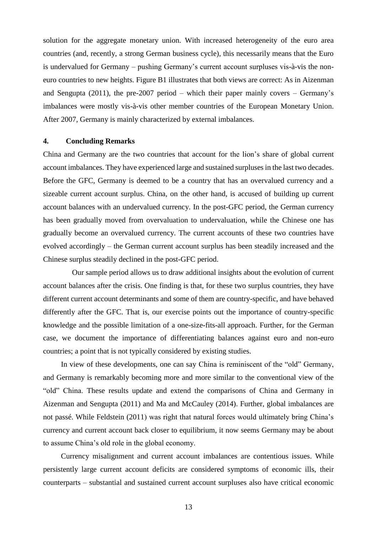solution for the aggregate monetary union. With increased heterogeneity of the euro area countries (and, recently, a strong German business cycle), this necessarily means that the Euro is undervalued for Germany – pushing Germany's current account surpluses vis-à-vis the noneuro countries to new heights. Figure B1 illustrates that both views are correct: As in Aizenman and Sengupta (2011), the pre-2007 period – which their paper mainly covers – Germany's imbalances were mostly vis-à-vis other member countries of the European Monetary Union. After 2007, Germany is mainly characterized by external imbalances.

#### **4. Concluding Remarks**

China and Germany are the two countries that account for the lion's share of global current account imbalances. They have experienced large and sustained surpluses in the last two decades. Before the GFC, Germany is deemed to be a country that has an overvalued currency and a sizeable current account surplus. China, on the other hand, is accused of building up current account balances with an undervalued currency. In the post-GFC period, the German currency has been gradually moved from overvaluation to undervaluation, while the Chinese one has gradually become an overvalued currency. The current accounts of these two countries have evolved accordingly – the German current account surplus has been steadily increased and the Chinese surplus steadily declined in the post-GFC period.

Our sample period allows us to draw additional insights about the evolution of current account balances after the crisis. One finding is that, for these two surplus countries, they have different current account determinants and some of them are country-specific, and have behaved differently after the GFC. That is, our exercise points out the importance of country-specific knowledge and the possible limitation of a one-size-fits-all approach. Further, for the German case, we document the importance of differentiating balances against euro and non-euro countries; a point that is not typically considered by existing studies.

In view of these developments, one can say China is reminiscent of the "old" Germany, and Germany is remarkably becoming more and more similar to the conventional view of the "old" China. These results update and extend the comparisons of China and Germany in Aizenman and Sengupta (2011) and Ma and McCauley (2014). Further, global imbalances are not passé. While Feldstein (2011) was right that natural forces would ultimately bring China's currency and current account back closer to equilibrium, it now seems Germany may be about to assume China's old role in the global economy.

Currency misalignment and current account imbalances are contentious issues. While persistently large current account deficits are considered symptoms of economic ills, their counterparts – substantial and sustained current account surpluses also have critical economic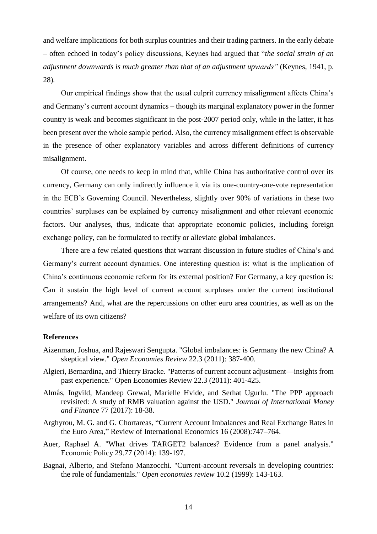and welfare implications for both surplus countries and their trading partners. In the early debate – often echoed in today's policy discussions, Keynes had argued that "*the social strain of an adjustment downwards is much greater than that of an adjustment upwards"* (Keynes, 1941, p. 28)*.*

Our empirical findings show that the usual culprit currency misalignment affects China's and Germany's current account dynamics – though its marginal explanatory power in the former country is weak and becomes significant in the post-2007 period only, while in the latter, it has been present over the whole sample period. Also, the currency misalignment effect is observable in the presence of other explanatory variables and across different definitions of currency misalignment.

Of course, one needs to keep in mind that, while China has authoritative control over its currency, Germany can only indirectly influence it via its one-country-one-vote representation in the ECB's Governing Council. Nevertheless, slightly over 90% of variations in these two countries' surpluses can be explained by currency misalignment and other relevant economic factors. Our analyses, thus, indicate that appropriate economic policies, including foreign exchange policy, can be formulated to rectify or alleviate global imbalances.

There are a few related questions that warrant discussion in future studies of China's and Germany's current account dynamics. One interesting question is: what is the implication of China's continuous economic reform for its external position? For Germany, a key question is: Can it sustain the high level of current account surpluses under the current institutional arrangements? And, what are the repercussions on other euro area countries, as well as on the welfare of its own citizens?

#### **References**

- Aizenman, Joshua, and Rajeswari Sengupta. "Global imbalances: is Germany the new China? A skeptical view." *Open Economies Review* 22.3 (2011): 387-400.
- Algieri, Bernardina, and Thierry Bracke. "Patterns of current account adjustment—insights from past experience." Open Economies Review 22.3 (2011): 401-425.
- Almås, Ingvild, Mandeep Grewal, Marielle Hvide, and Serhat Ugurlu. "The PPP approach revisited: A study of RMB valuation against the USD." *Journal of International Money and Finance* 77 (2017): 18-38.
- Arghyrou, M. G. and G. Chortareas, "Current Account Imbalances and Real Exchange Rates in the Euro Area," Review of International Economics 16 (2008):747–764.
- Auer, Raphael A. "What drives TARGET2 balances? Evidence from a panel analysis." Economic Policy 29.77 (2014): 139-197.
- Bagnai, Alberto, and Stefano Manzocchi. "Current-account reversals in developing countries: the role of fundamentals." *Open economies review* 10.2 (1999): 143-163.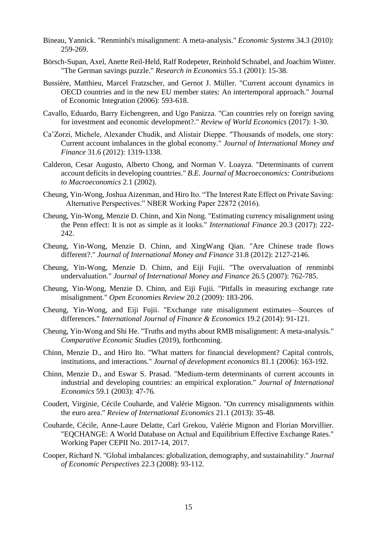- Bineau, Yannick. "Renminbi's misalignment: A meta-analysis." *Economic Systems* 34.3 (2010): 259-269.
- Börsch-Supan, Axel, Anette Reil-Held, Ralf Rodepeter, Reinhold Schnabel, and Joachim Winter. "The German savings puzzle." *Research in Economics* 55.1 (2001): 15-38.
- Bussière, Matthieu, Marcel Fratzscher, and Gernot J. Müller. "Current account dynamics in OECD countries and in the new EU member states: An intertemporal approach." Journal of Economic Integration (2006): 593-618.
- Cavallo, Eduardo, Barry Eichengreen, and Ugo Panizza. "Can countries rely on foreign saving for investment and economic development?." *Review of World Economics* (2017): 1-30.
- Ca'Zorzi, Michele, Alexander Chudik, and Alistair Dieppe. "Thousands of models, one story: Current account imbalances in the global economy." *Journal of International Money and Finance* 31.6 (2012): 1319-1338.
- Calderon, Cesar Augusto, Alberto Chong, and Norman V. Loayza. "Determinants of current account deficits in developing countries." *B.E. Journal of Macroeconomics: Contributions to Macroeconomics* 2.1 (2002).
- Cheung, Yin-Wong, Joshua Aizenman, and Hiro Ito. "The Interest Rate Effect on Private Saving: Alternative Perspectives." NBER Working Paper 22872 (2016).
- Cheung, Yin-Wong, Menzie D. Chinn, and Xin Nong. "Estimating currency misalignment using the Penn effect: It is not as simple as it looks." *International Finance* 20.3 (2017): 222- 242.
- Cheung, Yin-Wong, Menzie D. Chinn, and XingWang Qian. "Are Chinese trade flows different?." *Journal of International Money and Finance* 31.8 (2012): 2127-2146.
- Cheung, Yin-Wong, Menzie D. Chinn, and Eiji Fujii. "The overvaluation of renminbi undervaluation." *Journal of International Money and Finance* 26.5 (2007): 762-785.
- Cheung, Yin-Wong, Menzie D. Chinn, and Eiji Fujii. "Pitfalls in measuring exchange rate misalignment." *Open Economies Review* 20.2 (2009): 183-206.
- Cheung, Yin-Wong, and Eiji Fujii. "Exchange rate misalignment estimates—Sources of differences." *International Journal of Finance & Economics* 19.2 (2014): 91-121.
- Cheung, Yin-Wong and Shi He. "Truths and myths about RMB misalignment: A meta-analysis." *Comparative Economic Studies* (2019), forthcoming.
- Chinn, Menzie D., and Hiro Ito. "What matters for financial development? Capital controls, institutions, and interactions." *Journal of development economics* 81.1 (2006): 163-192.
- Chinn, Menzie D., and Eswar S. Prasad. "Medium-term determinants of current accounts in industrial and developing countries: an empirical exploration." *Journal of International Economics* 59.1 (2003): 47-76.
- Coudert, Virginie, Cécile Couharde, and Valérie Mignon. "On currency misalignments within the euro area." *Review of International Economics* 21.1 (2013): 35-48.
- Couharde, Cécile, Anne-Laure Delatte, Carl Grekou, Valérie Mignon and Florian Morvillier. "EQCHANGE: A World Database on Actual and Equilibrium Effective Exchange Rates." Working Paper CEPII No. 2017-14, 2017.
- Cooper, Richard N. "Global imbalances: globalization, demography, and sustainability." *Journal of Economic Perspectives* 22.3 (2008): 93-112.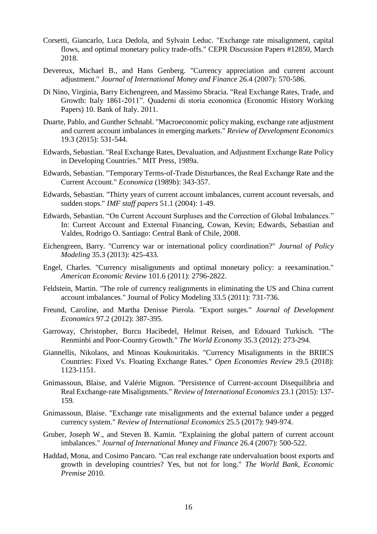- Corsetti, Giancarlo, Luca Dedola, and Sylvain Leduc. "Exchange rate misalignment, capital flows, and optimal monetary policy trade-offs." CEPR Discussion Papers #12850, March 2018.
- Devereux, Michael B., and Hans Genberg. "Currency appreciation and current account adjustment." *Journal of International Money and Finance* 26.4 (2007): 570-586.
- Di Nino, Virginia, Barry Eichengreen, and Massimo Sbracia. "Real Exchange Rates, Trade, and Growth: Italy 1861-2011". Quaderni di storia economica (Economic History Working Papers) 10. Bank of Italy. 2011.
- Duarte, Pablo, and Gunther Schnabl. "Macroeconomic policy making, exchange rate adjustment and current account imbalances in emerging markets." *Review of Development Economics* 19.3 (2015): 531-544.
- Edwards, Sebastian. "Real Exchange Rates, Devaluation, and Adjustment Exchange Rate Policy in Developing Countries." MIT Press, 1989a.
- Edwards, Sebastian. "Temporary Terms-of-Trade Disturbances, the Real Exchange Rate and the Current Account." *Economica* (1989b): 343-357.
- Edwards, Sebastian. "Thirty years of current account imbalances, current account reversals, and sudden stops." *IMF staff papers* 51.1 (2004): 1-49.
- Edwards, Sebastian. "On Current Account Surpluses and the Correction of Global Imbalances." In: Current Account and External Financing, Cowan, Kevin; Edwards, Sebastian and Valdes, Rodrigo O. Santiago: Central Bank of Chile, 2008.
- Eichengreen, Barry. "Currency war or international policy coordination?" *Journal of Policy Modeling* 35.3 (2013): 425-433.
- Engel, Charles. "Currency misalignments and optimal monetary policy: a reexamination." *American Economic Review* 101.6 (2011): 2796-2822.
- Feldstein, Martin. "The role of currency realignments in eliminating the US and China current account imbalances." Journal of Policy Modeling 33.5 (2011): 731-736.
- Freund, Caroline, and Martha Denisse Pierola. "Export surges." *Journal of Development Economics* 97.2 (2012): 387-395.
- Garroway, Christopher, Burcu Hacibedel, Helmut Reisen, and Edouard Turkisch. "The Renminbi and Poor-Country Growth." *The World Economy* 35.3 (2012): 273-294.
- Giannellis, Nikolaos, and Minoas Koukouritakis. "Currency Misalignments in the BRIICS Countries: Fixed Vs. Floating Exchange Rates." *Open Economies Review* 29.5 (2018): 1123-1151.
- Gnimassoun, Blaise, and Valérie Mignon. "Persistence of Current‐account Disequilibria and Real Exchange‐rate Misalignments." *Review of International Economics* 23.1 (2015): 137- 159.
- Gnimassoun, Blaise. "Exchange rate misalignments and the external balance under a pegged currency system." *Review of International Economics* 25.5 (2017): 949-974.
- Gruber, Joseph W., and Steven B. Kamin. "Explaining the global pattern of current account imbalances." *Journal of International Money and Finance* 26.4 (2007): 500-522.
- Haddad, Mona, and Cosimo Pancaro. "Can real exchange rate undervaluation boost exports and growth in developing countries? Yes, but not for long." *The World Bank, Economic Premise* 2010.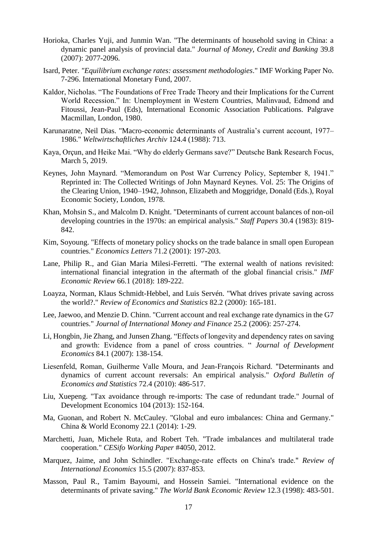- Horioka, Charles Yuji, and Junmin Wan. "The determinants of household saving in China: a dynamic panel analysis of provincial data." *Journal of Money, Credit and Banking* 39.8 (2007): 2077-2096.
- Isard, Peter. *"Equilibrium exchange rates: assessment methodologies*." IMF Working Paper No. 7-296. International Monetary Fund, 2007.
- Kaldor, Nicholas. "The Foundations of Free Trade Theory and their Implications for the Current World Recession." In: Unemployment in Western Countries, Malinvaud, Edmond and Fitoussi, Jean-Paul (Eds), International Economic Association Publications. Palgrave Macmillan, London, 1980.
- Karunaratne, Neil Dias. "Macro-economic determinants of Australia's current account, 1977– 1986." *Weltwirtschaftliches Archiv* 124.4 (1988): 713.
- Kaya, Orçun, and Heike Mai. "Why do elderly Germans save?" Deutsche Bank Research Focus, March 5, 2019.
- Keynes, John Maynard. "Memorandum on Post War Currency Policy, September 8, 1941." Reprinted in: The Collected Writings of John Maynard Keynes. Vol. 25: The Origins of the Clearing Union, 1940–1942, Johnson, Elizabeth and Moggridge, Donald (Eds.), Royal Economic Society, London, 1978.
- Khan, Mohsin S., and Malcolm D. Knight. "Determinants of current account balances of non-oil developing countries in the 1970s: an empirical analysis." *Staff Papers* 30.4 (1983): 819- 842.
- Kim, Soyoung. "Effects of monetary policy shocks on the trade balance in small open European countries." *Economics Letters* 71.2 (2001): 197-203.
- Lane, Philip R., and Gian Maria Milesi-Ferretti. "The external wealth of nations revisited: international financial integration in the aftermath of the global financial crisis." *IMF Economic Review* 66.1 (2018): 189-222.
- Loayza, Norman, Klaus Schmidt-Hebbel, and Luis Servén. "What drives private saving across the world?." *Review of Economics and Statistics* 82.2 (2000): 165-181.
- Lee, Jaewoo, and Menzie D. Chinn. "Current account and real exchange rate dynamics in the G7 countries." *Journal of International Money and Finance* 25.2 (2006): 257-274.
- Li, Hongbin, Jie Zhang, and Junsen Zhang. "Effects of longevity and dependency rates on saving and growth: Evidence from a panel of cross countries. " *Journal of Development Economics* 84.1 (2007): 138-154.
- Liesenfeld, Roman, Guilherme Valle Moura, and Jean‐François Richard. "Determinants and dynamics of current account reversals: An empirical analysis." *Oxford Bulletin of Economics and Statistics* 72.4 (2010): 486-517.
- Liu, Xuepeng. "Tax avoidance through re-imports: The case of redundant trade." Journal of Development Economics 104 (2013): 152-164.
- Ma, Guonan, and Robert N. McCauley. "Global and euro imbalances: China and Germany." China & World Economy 22.1 (2014): 1-29.
- Marchetti, Juan, Michele Ruta, and Robert Teh. "Trade imbalances and multilateral trade cooperation." *CESifo Working Paper* #4050, 2012.
- Marquez, Jaime, and John Schindler. "Exchange‐rate effects on China's trade." *Review of International Economics* 15.5 (2007): 837-853.
- Masson, Paul R., Tamim Bayoumi, and Hossein Samiei. "International evidence on the determinants of private saving." *The World Bank Economic Review* 12.3 (1998): 483-501.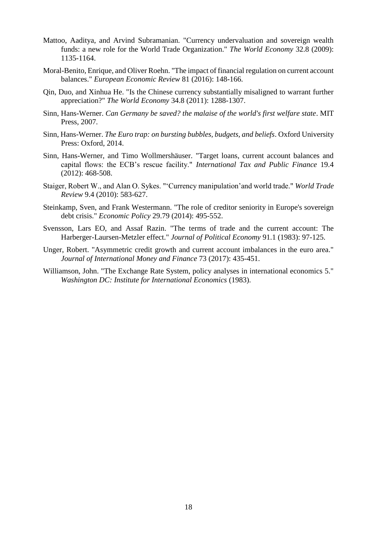- Mattoo, Aaditya, and Arvind Subramanian. "Currency undervaluation and sovereign wealth funds: a new role for the World Trade Organization." *The World Economy* 32.8 (2009): 1135-1164.
- Moral-Benito, Enrique, and Oliver Roehn. "The impact of financial regulation on current account balances." *European Economic Review* 81 (2016): 148-166.
- Qin, Duo, and Xinhua He. "Is the Chinese currency substantially misaligned to warrant further appreciation?" *The World Economy* 34.8 (2011): 1288-1307.
- Sinn, Hans-Werner. *Can Germany be saved? the malaise of the world's first welfare state*. MIT Press, 2007.
- Sinn, Hans-Werner. *The Euro trap: on bursting bubbles, budgets, and beliefs*. Oxford University Press: Oxford, 2014.
- Sinn, Hans-Werner, and Timo Wollmershäuser. "Target loans, current account balances and capital flows: the ECB's rescue facility." *International Tax and Public Finance* 19.4 (2012): 468-508.
- Staiger, Robert W., and Alan O. Sykes. "'Currency manipulation'and world trade." *World Trade Review* 9.4 (2010): 583-627.
- Steinkamp, Sven, and Frank Westermann. "The role of creditor seniority in Europe's sovereign debt crisis." *Economic Policy* 29.79 (2014): 495-552.
- Svensson, Lars EO, and Assaf Razin. "The terms of trade and the current account: The Harberger-Laursen-Metzler effect." *Journal of Political Economy* 91.1 (1983): 97-125.
- Unger, Robert. "Asymmetric credit growth and current account imbalances in the euro area." *Journal of International Money and Finance* 73 (2017): 435-451.
- Williamson, John. "The Exchange Rate System, policy analyses in international economics 5." *Washington DC: Institute for International Economics* (1983).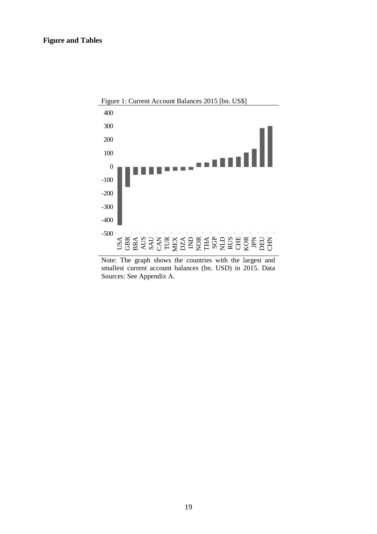

Note: The graph shows the countries with the largest and smallest current account balances (bn. USD) in 2015. Data Sources: See Appendix A.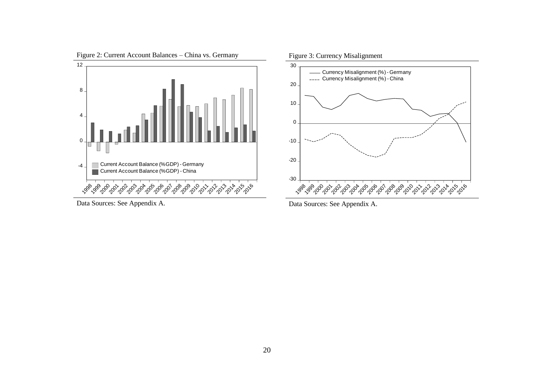

Data Sources: See Appendix A.

Data Sources: See Appendix A.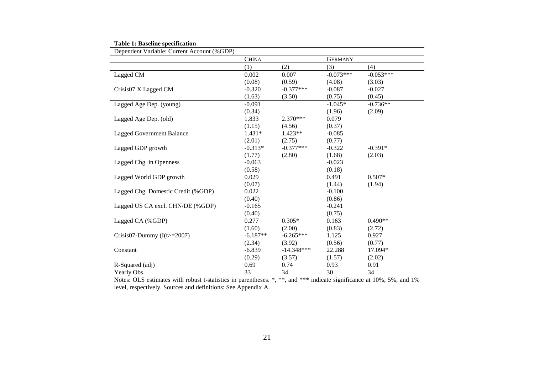| Dependent Variable: Current Account (%GDP) |              |              |                |             |  |  |
|--------------------------------------------|--------------|--------------|----------------|-------------|--|--|
|                                            | <b>CHINA</b> |              | <b>GERMANY</b> |             |  |  |
|                                            | (1)          | (2)          | (3)            | (4)         |  |  |
| Lagged CM                                  | 0.002        | 0.007        | $-0.073***$    | $-0.053***$ |  |  |
|                                            | (0.08)       | (0.59)       | (4.08)         | (3.03)      |  |  |
| Crisis07 X Lagged CM                       | $-0.320$     | $-0.377***$  | $-0.087$       | $-0.027$    |  |  |
|                                            | (1.63)       | (3.50)       | (0.75)         | (0.45)      |  |  |
| Lagged Age Dep. (young)                    | $-0.091$     |              | $-1.045*$      | $-0.736**$  |  |  |
|                                            | (0.34)       |              | (1.96)         | (2.09)      |  |  |
| Lagged Age Dep. (old)                      | 1.833        | $2.370***$   | 0.079          |             |  |  |
|                                            | (1.15)       | (4.56)       | (0.37)         |             |  |  |
| <b>Lagged Government Balance</b>           | $1.431*$     | $1.423**$    | $-0.085$       |             |  |  |
|                                            | (2.01)       | (2.75)       | (0.77)         |             |  |  |
| Lagged GDP growth                          | $-0.313*$    | $-0.377***$  | $-0.322$       | $-0.391*$   |  |  |
|                                            | (1.77)       | (2.80)       | (1.68)         | (2.03)      |  |  |
| Lagged Chg. in Openness                    | $-0.063$     |              | $-0.023$       |             |  |  |
|                                            | (0.58)       |              | (0.18)         |             |  |  |
| Lagged World GDP growth                    | 0.029        |              | 0.491          | $0.507*$    |  |  |
|                                            | (0.07)       |              | (1.44)         | (1.94)      |  |  |
| Lagged Chg. Domestic Credit (%GDP)         | 0.022        |              | $-0.100$       |             |  |  |
|                                            | (0.40)       |              | (0.86)         |             |  |  |
| Lagged US CA excl. CHN/DE (%GDP)           | $-0.165$     |              | $-0.241$       |             |  |  |
|                                            | (0.40)       |              | (0.75)         |             |  |  |
| Lagged CA (%GDP)                           | 0.277        | $0.305*$     | 0.163          | $0.490**$   |  |  |
|                                            | (1.60)       | (2.00)       | (0.83)         | (2.72)      |  |  |
| Crisis07-Dummy $(I(t)=2007)$               | $-6.187**$   | $-6.265***$  | 1.125          | 0.927       |  |  |
|                                            | (2.34)       | (3.92)       | (0.56)         | (0.77)      |  |  |
| Constant                                   | $-6.839$     | $-14.348***$ | 22.288         | 17.094*     |  |  |
|                                            | (0.29)       | (3.57)       | (1.57)         | (2.02)      |  |  |
| R-Squared (adj)                            | 0.69         | 0.74         | 0.93           | 0.91        |  |  |
| Yearly Obs.                                | 33           | 34           | 30             | 34          |  |  |

| <b>Table 1: Baseline specification</b> |  |
|----------------------------------------|--|
|----------------------------------------|--|

Notes: OLS estimates with robust t-statistics in parentheses. \*, \*\*, and \*\*\* indicate significance at 10%, 5%, and 1% level, respectively. Sources and definitions: See Appendix A.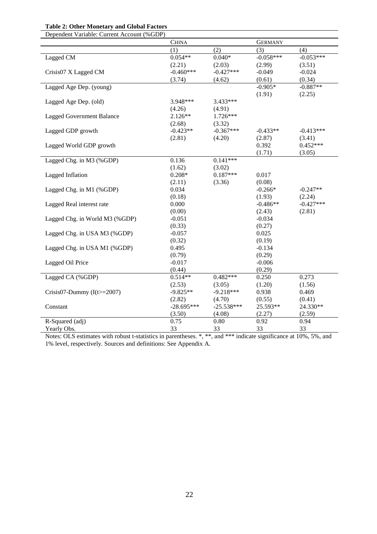#### **Table 2: Other Monetary and Global Factors**

| Dependent Variable: Current Account (%GDP) |              |              |                |             |
|--------------------------------------------|--------------|--------------|----------------|-------------|
|                                            | <b>CHINA</b> |              | <b>GERMANY</b> |             |
|                                            | (1)          | (2)          | (3)            | (4)         |
| Lagged CM                                  | $0.054**$    | $0.040*$     | $-0.058***$    | $-0.053***$ |
|                                            | (2.21)       | (2.03)       | (2.99)         | (3.51)      |
| Crisis07 X Lagged CM                       | $-0.460***$  | $-0.427***$  | $-0.049$       | $-0.024$    |
|                                            | (3.74)       | (4.62)       | (0.61)         | (0.34)      |
| Lagged Age Dep. (young)                    |              |              | $-0.905*$      | $-0.887**$  |
|                                            |              |              | (1.91)         | (2.25)      |
| Lagged Age Dep. (old)                      | 3.948***     | 3.433***     |                |             |
|                                            | (4.26)       | (4.91)       |                |             |
| <b>Lagged Government Balance</b>           | $2.126**$    | $1.726***$   |                |             |
|                                            | (2.68)       | (3.32)       |                |             |
| Lagged GDP growth                          | $-0.423**$   | $-0.367***$  | $-0.433**$     | $-0.413***$ |
|                                            | (2.81)       | (4.20)       | (2.87)         | (3.41)      |
| Lagged World GDP growth                    |              |              | 0.392          | $0.452***$  |
|                                            |              |              | (1.71)         | (3.05)      |
| Lagged Chg. in M3 (%GDP)                   | 0.136        | $0.141***$   |                |             |
|                                            | (1.62)       | (3.02)       |                |             |
| Lagged Inflation                           | $0.208*$     | $0.187***$   | 0.017          |             |
|                                            | (2.11)       | (3.36)       | (0.08)         |             |
| Lagged Chg. in M1 (%GDP)                   | 0.034        |              | $-0.266*$      | $-0.247**$  |
|                                            | (0.18)       |              | (1.93)         | (2.24)      |
| Lagged Real interest rate                  | 0.000        |              | $-0.486**$     | $-0.427***$ |
|                                            | (0.00)       |              | (2.43)         | (2.81)      |
| Lagged Chg. in World M3 (%GDP)             | $-0.051$     |              | $-0.034$       |             |
|                                            | (0.33)       |              | (0.27)         |             |
| Lagged Chg. in USA M3 (%GDP)               | $-0.057$     |              | 0.025          |             |
|                                            | (0.32)       |              | (0.19)         |             |
| Lagged Chg. in USA M1 (%GDP)               | 0.495        |              | $-0.134$       |             |
|                                            | (0.79)       |              | (0.29)         |             |
| Lagged Oil Price                           | $-0.017$     |              | $-0.006$       |             |
|                                            | (0.44)       |              | (0.29)         |             |
| Lagged CA (%GDP)                           | $0.514**$    | $0.482***$   | 0.250          | 0.273       |
|                                            | (2.53)       | (3.05)       | (1.20)         | (1.56)      |
| Crisis07-Dummy $(I(t)=2007)$               | $-9.825**$   | $-9.218***$  | 0.938          | 0.469       |
|                                            | (2.82)       | (4.70)       | (0.55)         | (0.41)      |
| Constant                                   | $-28.695***$ | $-25.538***$ | 25.593**       | 24.330**    |
|                                            | (3.50)       | (4.08)       | (2.27)         | (2.59)      |
| R-Squared (adj)                            | 0.75         | 0.80         | 0.92           | 0.94        |
| Yearly Obs.                                | 33           | 33           | 33             | 33          |

Notes: OLS estimates with robust t-statistics in parentheses. \*, \*\*, and \*\*\* indicate significance at 10%, 5%, and 1% level, respectively. Sources and definitions: See Appendix A.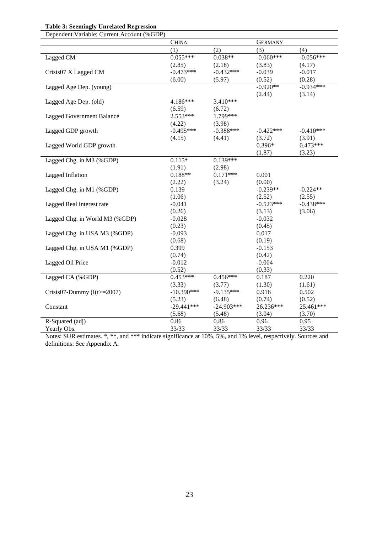#### **Table 3: Seemingly Unrelated Regression** Dependent Variable: Current Account (%GDP)

| Dependent Variable. Current Account (%ODF) |              |              |                |             |
|--------------------------------------------|--------------|--------------|----------------|-------------|
|                                            | <b>CHINA</b> |              | <b>GERMANY</b> |             |
|                                            | (1)          | (2)          | (3)            | (4)         |
| Lagged CM                                  | $0.055***$   | $0.038**$    | $-0.060***$    | $-0.056***$ |
|                                            | (2.85)       | (2.18)       | (3.83)         | (4.17)      |
| Crisis07 X Lagged CM                       | $-0.473***$  | $-0.432***$  | $-0.039$       | $-0.017$    |
|                                            | (6.00)       | (5.97)       | (0.52)         | (0.28)      |
| Lagged Age Dep. (young)                    |              |              | $-0.920**$     | $-0.934***$ |
|                                            |              |              | (2.44)         | (3.14)      |
| Lagged Age Dep. (old)                      | $4.186***$   | 3.410***     |                |             |
|                                            | (6.59)       | (6.72)       |                |             |
| <b>Lagged Government Balance</b>           | $2.553***$   | 1.799***     |                |             |
|                                            | (4.22)       | (3.98)       |                |             |
| Lagged GDP growth                          | $-0.495***$  | $-0.388***$  | $-0.422***$    | $-0.410***$ |
|                                            | (4.15)       | (4.41)       | (3.72)         | (3.91)      |
| Lagged World GDP growth                    |              |              | $0.396*$       | $0.473***$  |
|                                            |              |              | (1.87)         | (3.23)      |
| Lagged Chg. in M3 (%GDP)                   | $0.115*$     | $0.139***$   |                |             |
|                                            | (1.91)       | (2.98)       |                |             |
| Lagged Inflation                           | $0.188**$    | $0.171***$   | 0.001          |             |
|                                            | (2.22)       | (3.24)       | (0.00)         |             |
| Lagged Chg. in M1 (%GDP)                   | 0.139        |              | $-0.239**$     | $-0.224**$  |
|                                            | (1.06)       |              | (2.52)         | (2.55)      |
| Lagged Real interest rate                  | $-0.041$     |              | $-0.523***$    | $-0.438***$ |
|                                            | (0.26)       |              | (3.13)         | (3.06)      |
|                                            | $-0.028$     |              | $-0.032$       |             |
| Lagged Chg. in World M3 (%GDP)             |              |              |                |             |
|                                            | (0.23)       |              | (0.45)         |             |
| Lagged Chg. in USA M3 (%GDP)               | $-0.093$     |              | 0.017          |             |
|                                            | (0.68)       |              | (0.19)         |             |
| Lagged Chg. in USA M1 (%GDP)               | 0.399        |              | $-0.153$       |             |
|                                            | (0.74)       |              | (0.42)         |             |
| Lagged Oil Price                           | $-0.012$     |              | $-0.004$       |             |
|                                            | (0.52)       |              | (0.33)         |             |
| Lagged CA (%GDP)                           | $0.453***$   | $0.456***$   | 0.187          | 0.220       |
|                                            | (3.33)       | (3.77)       | (1.30)         | (1.61)      |
| Crisis07-Dummy $(I(t)=2007)$               | $-10.390***$ | $-9.135***$  | 0.916          | 0.502       |
|                                            | (5.23)       | (6.48)       | (0.74)         | (0.52)      |
| Constant                                   | $-29.441***$ | $-24.903***$ | 26.236***      | 25.461***   |
|                                            | (5.68)       | (5.48)       | (3.04)         | (3.70)      |
| R-Squared (adj)                            | 0.86         | 0.86         | 0.96           | 0.95        |
| Yearly Obs.                                | 33/33        | 33/33        | 33/33          | 33/33       |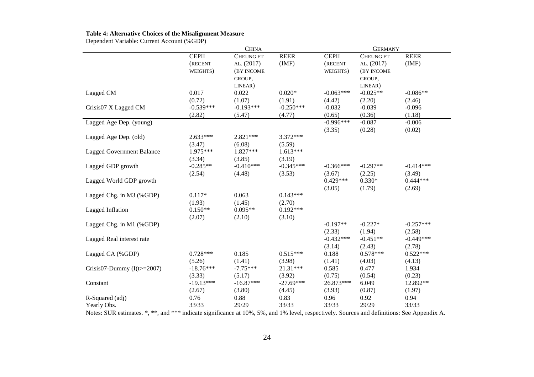| Dependent Variable: Current Account (%GDP) |              |                  |             |              |                  |             |
|--------------------------------------------|--------------|------------------|-------------|--------------|------------------|-------------|
|                                            |              | <b>CHINA</b>     |             |              | <b>GERMANY</b>   |             |
|                                            | <b>CEPII</b> | <b>CHEUNG ET</b> | <b>REER</b> | <b>CEPII</b> | <b>CHEUNG ET</b> | <b>REER</b> |
|                                            | (RECENT      | AL. (2017)       | (IMF)       | (RECENT      | AL. (2017)       | (IMF)       |
|                                            | WEIGHTS)     | (BY INCOME       |             | WEIGHTS)     | (BY INCOME       |             |
|                                            |              | GROUP,           |             |              | GROUP,           |             |
|                                            |              | LINEAR)          |             |              | LINEAR)          |             |
| Lagged CM                                  | 0.017        | 0.022            | $0.020*$    | $-0.063***$  | $-0.025**$       | $-0.086**$  |
|                                            | (0.72)       | (1.07)           | (1.91)      | (4.42)       | (2.20)           | (2.46)      |
| Crisis07 X Lagged CM                       | $-0.539***$  | $-0.193***$      | $-0.250***$ | $-0.032$     | $-0.039$         | $-0.096$    |
|                                            | (2.82)       | (5.47)           | (4.77)      | (0.65)       | (0.36)           | (1.18)      |
| Lagged Age Dep. (young)                    |              |                  |             | $-0.996***$  | $-0.087$         | $-0.006$    |
|                                            |              |                  |             | (3.35)       | (0.28)           | (0.02)      |
| Lagged Age Dep. (old)                      | $2.633***$   | $2.821***$       | $3.372***$  |              |                  |             |
|                                            | (3.47)       | (6.08)           | (5.59)      |              |                  |             |
| <b>Lagged Government Balance</b>           | 1.975***     | 1.827***         | $1.613***$  |              |                  |             |
|                                            | (3.34)       | (3.85)           | (3.19)      |              |                  |             |
| Lagged GDP growth                          | $-0.285**$   | $-0.410***$      | $-0.345***$ | $-0.366$ *** | $-0.297**$       | $-0.414***$ |
|                                            | (2.54)       | (4.48)           | (3.53)      | (3.67)       | (2.25)           | (3.49)      |
| Lagged World GDP growth                    |              |                  |             | $0.429***$   | $0.330*$         | $0.444***$  |
|                                            |              |                  |             | (3.05)       | (1.79)           | (2.69)      |
| Lagged Chg. in M3 (%GDP)                   | $0.117*$     | 0.063            | $0.143***$  |              |                  |             |
|                                            | (1.93)       | (1.45)           | (2.70)      |              |                  |             |
| Lagged Inflation                           | $0.150**$    | $0.095**$        | $0.192***$  |              |                  |             |
|                                            | (2.07)       | (2.10)           | (3.10)      |              |                  |             |
| Lagged Chg. in M1 (%GDP)                   |              |                  |             | $-0.197**$   | $-0.227*$        | $-0.257***$ |
|                                            |              |                  |             | (2.33)       | (1.94)           | (2.58)      |
| Lagged Real interest rate                  |              |                  |             | $-0.432***$  | $-0.451**$       | $-0.449***$ |
|                                            |              |                  |             | (3.14)       | (2.43)           | (2.78)      |
| Lagged CA (%GDP)                           | $0.728***$   | 0.185            | $0.515***$  | 0.188        | $0.578***$       | $0.522***$  |
|                                            | (5.26)       | (1.41)           | (3.98)      | (1.41)       | (4.03)           | (4.13)      |
| Crisis07-Dummy $(I(t)=2007)$               | $-18.76***$  | $-7.75***$       | 21.31***    | 0.585        | 0.477            | 1.934       |
|                                            | (3.33)       | (5.17)           | (3.92)      | (0.75)       | (0.54)           | (0.23)      |
| Constant                                   | $-19.13***$  | $-16.87***$      | $-27.69***$ | 26.873***    | 6.049            | 12.892**    |
|                                            | (2.67)       | (3.80)           | (4.45)      | (3.93)       | (0.87)           | (1.97)      |
| R-Squared (adj)                            | 0.76         | 0.88             | 0.83        | 0.96         | 0.92             | 0.94        |
|                                            |              | 29/29            | 33/33       | 33/33        | 29/29            |             |
| Yearly Obs.                                | 33/33        |                  |             |              |                  | 33/33       |

#### **Table 4: Alternative Choices of the Misalignment Measure**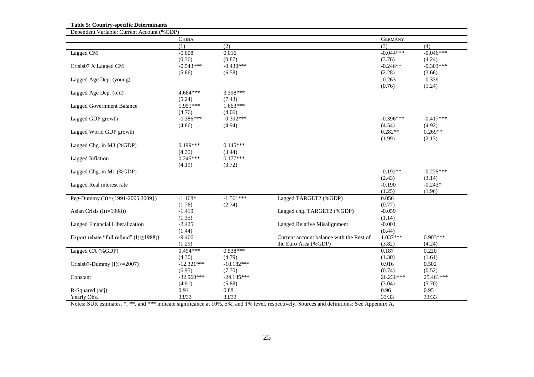**Table 5: Country-specific Determinants**

| Dependent Variable: Current Account (%GDP)    |              |              |                                          |                |             |
|-----------------------------------------------|--------------|--------------|------------------------------------------|----------------|-------------|
|                                               | <b>CHINA</b> |              |                                          | <b>GERMANY</b> |             |
|                                               | (1)          | (2)          |                                          | (3)            | (4)         |
| Lagged CM                                     | $-0.008$     | 0.016        |                                          | $-0.044***$    | $-0.046***$ |
|                                               | (0.36)       | (0.87)       |                                          | (3.76)         | (4.24)      |
| Crisis07 X Lagged CM                          | $-0.543***$  | $-0.430***$  |                                          | $-0.246**$     | $-0.303***$ |
|                                               | (5.66)       | (6.58)       |                                          | (2.28)         | (3.66)      |
| Lagged Age Dep. (young)                       |              |              |                                          | $-0.263$       | $-0.339$    |
|                                               |              |              |                                          | (0.76)         | (1.24)      |
| Lagged Age Dep. (old)                         | $4.664***$   | 3.398***     |                                          |                |             |
|                                               | (5.24)       | (7.43)       |                                          |                |             |
| <b>Lagged Government Balance</b>              | $1.951***$   | $1.663***$   |                                          |                |             |
|                                               | (4.76)       | (4.06)       |                                          |                |             |
| Lagged GDP growth                             | $-0.386***$  | $-0.392***$  |                                          | $-0.396***$    | $-0.417***$ |
|                                               | (4.86)       | (4.94)       |                                          | (4.54)         | (4.92)      |
| Lagged World GDP growth                       |              |              |                                          | $0.282**$      | $0.269**$   |
|                                               |              |              |                                          | (1.99)         | (2.13)      |
| Lagged Chg. in M3 (%GDP)                      | $0.199***$   | $0.145***$   |                                          |                |             |
|                                               | (4.35)       | (3.44)       |                                          |                |             |
| Lagged Inflation                              | $0.245***$   | $0.177***$   |                                          |                |             |
|                                               | (4.19)       | (3.72)       |                                          |                |             |
| Lagged Chg. in M1 (%GDP)                      |              |              |                                          | $-0.192**$     | $-0.225***$ |
|                                               |              |              |                                          | (2.43)         | (3.14)      |
| Lagged Real interest rate                     |              |              |                                          | $-0.190$       | $-0.243*$   |
|                                               |              |              |                                          | (1.25)         | (1.96)      |
| Peg-Dummy (I(t={1991-2005,2009})              | $-1.168*$    | $-1.561***$  | Lagged TARGET2 (%GDP)                    | 0.056          |             |
|                                               | (1.76)       | (2.74)       |                                          | (0.77)         |             |
| Asian Crisis $(I(t=1998))$                    | $-1.419$     |              | Lagged chg. TARGET2 (%GDP)               | $-0.059$       |             |
|                                               | (1.35)       |              |                                          | (1.14)         |             |
| Lagged Financial Liberalization               | $-2.425$     |              | Lagged Relative Misalignment             | $-0.001$       |             |
|                                               | (1.44)       |              |                                          | (0.44)         |             |
| Export rebate "full refund" $(I(t \ge 1988))$ | $-9.466$     |              | Current account balance with the Rest of | $1.037***$     | $0.903***$  |
|                                               | (1.29)       |              | the Euro Area (%GDP)                     | (3.82)         | (4.24)      |
| Lagged CA (%GDP)                              | $0.494***$   | $0.538***$   |                                          | 0.187          | 0.220       |
|                                               | (4.30)       | (4.79)       |                                          | (1.30)         | (1.61)      |
| Crisis07-Dummy $(I(t)=2007)$                  | $-12.321***$ | $-10.182***$ |                                          | 0.916          | 0.502       |
|                                               | (6.95)       | (7.70)       |                                          | (0.74)         | (0.52)      |
| Constant                                      | $-32.960***$ | $-24.135***$ |                                          | 26.236***      | 25.461***   |
|                                               | (4.91)       | (5.88)       |                                          | (3.04)         | (3.70)      |
| R-Squared (adj)                               | 0.91         | 0.88         |                                          | 0.96           | 0.95        |
| Yearly Obs.                                   | 33/33        | 33/33        |                                          | 33/33          | 33/33       |
|                                               |              |              |                                          |                |             |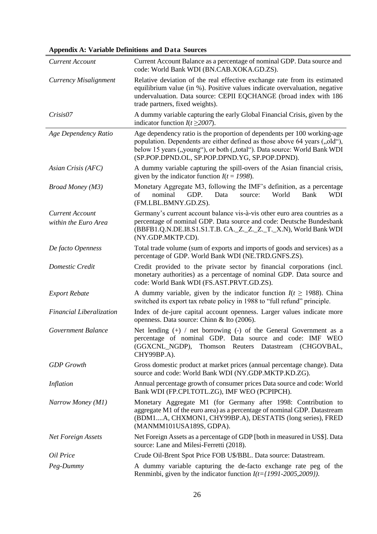**Appendix A: Variable Definitions and Data Sources**

| <b>Current Account</b>          | Current Account Balance as a percentage of nominal GDP. Data source and<br>code: World Bank WDI (BN.CAB.XOKA.GD.ZS).                                                                                                                                                                 |
|---------------------------------|--------------------------------------------------------------------------------------------------------------------------------------------------------------------------------------------------------------------------------------------------------------------------------------|
| Currency Misalignment           | Relative deviation of the real effective exchange rate from its estimated<br>equilibrium value (in %). Positive values indicate overvaluation, negative<br>undervaluation. Data source: CEPII EQCHANGE (broad index with 186<br>trade partners, fixed weights).                      |
| Crisis07                        | A dummy variable capturing the early Global Financial Crisis, given by the<br>indicator function $I(t \ge 2007)$ .                                                                                                                                                                   |
| Age Dependency Ratio            | Age dependency ratio is the proportion of dependents per 100 working-age<br>population. Dependents are either defined as those above 64 years ("old"),<br>below 15 years ("young"), or both ("total"). Data source: World Bank WDI<br>(SP.POP.DPND.OL, SP.POP.DPND.YG, SP.POP.DPND). |
| Asian Crisis (AFC)              | A dummy variable capturing the spill-overs of the Asian financial crisis,<br>given by the indicator function $I(t = 1998)$ .                                                                                                                                                         |
| <b>Broad Money</b> (M3)         | Monetary Aggregate M3, following the IMF's definition, as a percentage<br>of<br>nominal<br>GDP.<br>Data<br>World<br>source:<br>Bank<br><b>WDI</b><br>(FM.LBL.BMNY.GD.ZS).                                                                                                            |
| <b>Current Account</b>          | Germany's current account balance vis-à-vis other euro area countries as a                                                                                                                                                                                                           |
| within the Euro Area            | percentage of nominal GDP. Data source and code: Deutsche Bundesbank<br>(BBFB1.Q.N.DE.I8.S1.S1.T.B. CA. _ Z. _ Z. _ Z. _ T. _ X.N), World Bank WDI<br>(NY.GDP.MKTP.CD).                                                                                                              |
| De facto Openness               | Total trade volume (sum of exports and imports of goods and services) as a<br>percentage of GDP. World Bank WDI (NE.TRD.GNFS.ZS).                                                                                                                                                    |
| Domestic Credit                 | Credit provided to the private sector by financial corporations (incl.<br>monetary authorities) as a percentage of nominal GDP. Data source and<br>code: World Bank WDI (FS.AST.PRVT.GD.ZS).                                                                                         |
| <b>Export Rebate</b>            | A dummy variable, given by the indicator function $I(t \ge 1988)$ . China<br>switched its export tax rebate policy in 1988 to "full refund" principle.                                                                                                                               |
| <b>Financial Liberalization</b> | Index of de-jure capital account openness. Larger values indicate more<br>openness. Data source: Chinn & Ito (2006).                                                                                                                                                                 |
| Government Balance              | Net lending $(+)$ / net borrowing $(-)$ of the General Government as a<br>percentage of nominal GDP. Data source and code: IMF WEO<br>Thomson Reuters Datastream (CHGOVBAL,<br>(GGXCNL_NGDP),<br>CHY99BP.A).                                                                         |
| <b>GDP</b> Growth               | Gross domestic product at market prices (annual percentage change). Data<br>source and code: World Bank WDI (NY.GDP.MKTP.KD.ZG).                                                                                                                                                     |
| Inflation                       | Annual percentage growth of consumer prices Data source and code: World<br>Bank WDI (FP.CPI.TOTL.ZG), IMF WEO (PCPIPCH).                                                                                                                                                             |
| Narrow Money (M1)               | Monetary Aggregate M1 (for Germany after 1998: Contribution to<br>aggregate M1 of the euro area) as a percentage of nominal GDP. Datastream<br>(BDM1A, CHXMON1, CHY99BP.A), DESTATIS (long series), FRED<br>(MANMM101USA189S, GDPA).                                                 |
| Net Foreign Assets              | Net Foreign Assets as a percentage of GDP [both in measured in US\$]. Data<br>source: Lane and Milesi-Ferretti (2018).                                                                                                                                                               |
| Oil Price                       | Crude Oil-Brent Spot Price FOB U\$/BBL. Data source: Datastream.                                                                                                                                                                                                                     |
| Peg-Dummy                       | A dummy variable capturing the de-facto exchange rate peg of the                                                                                                                                                                                                                     |
|                                 | Renminbi, given by the indicator function $I(t=\{1991-2005,2009\})$ .                                                                                                                                                                                                                |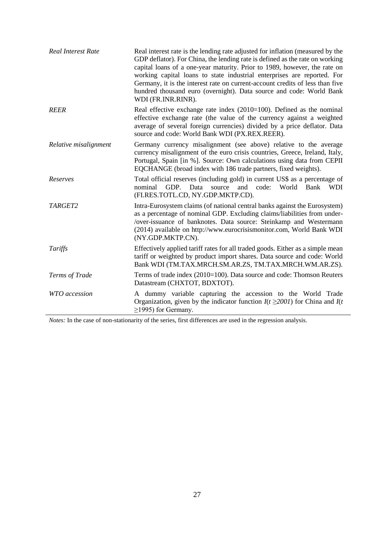| <b>Real Interest Rate</b> | Real interest rate is the lending rate adjusted for inflation (measured by the<br>GDP deflator). For China, the lending rate is defined as the rate on working<br>capital loans of a one-year maturity. Prior to 1989, however, the rate on<br>working capital loans to state industrial enterprises are reported. For<br>Germany, it is the interest rate on current-account credits of less than five<br>hundred thousand euro (overnight). Data source and code: World Bank<br>WDI (FR.INR.RINR). |
|---------------------------|------------------------------------------------------------------------------------------------------------------------------------------------------------------------------------------------------------------------------------------------------------------------------------------------------------------------------------------------------------------------------------------------------------------------------------------------------------------------------------------------------|
| <b>REER</b>               | Real effective exchange rate index $(2010=100)$ . Defined as the nominal<br>effective exchange rate (the value of the currency against a weighted<br>average of several foreign currencies) divided by a price deflator. Data<br>source and code: World Bank WDI (PX.REX.REER).                                                                                                                                                                                                                      |
| Relative misalignment     | Germany currency misalignment (see above) relative to the average<br>currency misalignment of the euro crisis countries, Greece, Ireland, Italy,<br>Portugal, Spain [in %]. Source: Own calculations using data from CEPII<br>EQCHANGE (broad index with 186 trade partners, fixed weights).                                                                                                                                                                                                         |
| Reserves                  | Total official reserves (including gold) in current US\$ as a percentage of<br>GDP. Data<br>and code: World<br>nominal<br>source<br>Bank<br><b>WDI</b><br>(FI.RES.TOTL.CD, NY.GDP.MKTP.CD).                                                                                                                                                                                                                                                                                                          |
| TARGET2                   | Intra-Eurosystem claims (of national central banks against the Eurosystem)<br>as a percentage of nominal GDP. Excluding claims/liabilities from under-<br>/over-issuance of banknotes. Data source: Steinkamp and Westermann<br>(2014) available on http://www.eurocrisismonitor.com, World Bank WDI<br>(NY.GDP.MKTP.CN).                                                                                                                                                                            |
| Tariffs                   | Effectively applied tariff rates for all traded goods. Either as a simple mean<br>tariff or weighted by product import shares. Data source and code: World<br>Bank WDI (TM.TAX.MRCH.SM.AR.ZS, TM.TAX.MRCH.WM.AR.ZS).                                                                                                                                                                                                                                                                                 |
| Terms of Trade            | Terms of trade index (2010=100). Data source and code: Thomson Reuters<br>Datastream (CHXTOT, BDXTOT).                                                                                                                                                                                                                                                                                                                                                                                               |
| WTO accession             | A dummy variable capturing the accession to the World Trade<br>Organization, given by the indicator function $I(t \ge 2001)$ for China and $I(t)$<br>$\geq$ 1995) for Germany.                                                                                                                                                                                                                                                                                                                       |

*Notes:* In the case of non-stationarity of the series, first differences are used in the regression analysis.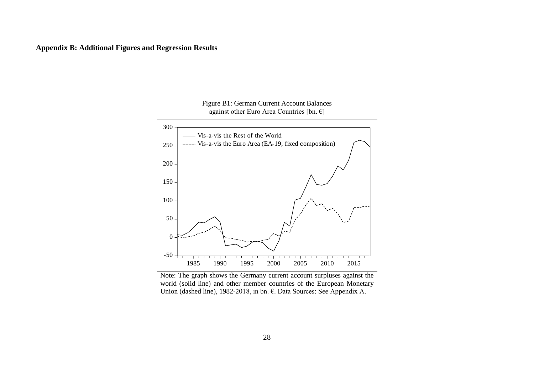

Figure B1: German Current Account Balances against other Euro Area Countries [bn.  $\epsilon$ ]

Note: The graph shows the Germany current account surpluses against the world (solid line) and other member countries of the European Monetary Union (dashed line), 1982-2018, in bn. €. Data Sources: See Appendix A.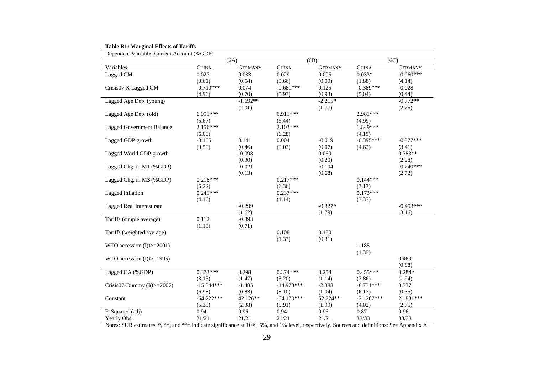| <b>Table B1: Marginal Effects of Tariffs</b> |  |
|----------------------------------------------|--|
|----------------------------------------------|--|

| Dependent Variable: Current Account (%GDP) |              |                |              |                |              |                |
|--------------------------------------------|--------------|----------------|--------------|----------------|--------------|----------------|
|                                            |              | (6A)           |              | (6B)           |              | (6C)           |
| Variables                                  | <b>CHINA</b> | <b>GERMANY</b> | <b>CHINA</b> | <b>GERMANY</b> | <b>CHINA</b> | <b>GERMANY</b> |
| Lagged CM                                  | 0.027        | 0.033          | 0.029        | 0.005          | $0.033*$     | $-0.060***$    |
|                                            | (0.61)       | (0.54)         | (0.66)       | (0.09)         | (1.88)       | (4.14)         |
| Crisis07 X Lagged CM                       | $-0.710***$  | 0.074          | $-0.681***$  | 0.125          | $-0.389***$  | $-0.028$       |
|                                            | (4.96)       | (0.70)         | (5.93)       | (0.93)         | (5.04)       | (0.44)         |
| Lagged Age Dep. (young)                    |              | $-1.692**$     |              | $-2.215*$      |              | $-0.772**$     |
|                                            |              | (2.01)         |              | (1.77)         |              | (2.25)         |
| Lagged Age Dep. (old)                      | 6.991***     |                | 6.911***     |                | 2.981***     |                |
|                                            | (5.67)       |                | (6.44)       |                | (4.99)       |                |
| Lagged Government Balance                  | $2.156***$   |                | $2.103***$   |                | 1.849***     |                |
|                                            | (6.00)       |                | (6.28)       |                | (4.19)       |                |
| Lagged GDP growth                          | $-0.105$     | 0.141          | 0.004        | $-0.019$       | $-0.395***$  | $-0.377***$    |
|                                            | (0.50)       | (0.46)         | (0.03)       | (0.07)         | (4.62)       | (3.41)         |
| Lagged World GDP growth                    |              | $-0.098$       |              | 0.060          |              | $0.383**$      |
|                                            |              | (0.30)         |              | (0.20)         |              | (2.28)         |
| Lagged Chg. in M1 (%GDP)                   |              | $-0.021$       |              | $-0.104$       |              | $-0.240***$    |
|                                            |              | (0.13)         |              | (0.68)         |              | (2.72)         |
| Lagged Chg. in M3 (%GDP)                   | $0.218***$   |                | $0.217***$   |                | $0.144***$   |                |
|                                            | (6.22)       |                | (6.36)       |                | (3.17)       |                |
| Lagged Inflation                           | $0.241***$   |                | $0.237***$   |                | $0.173***$   |                |
|                                            | (4.16)       |                | (4.14)       |                | (3.37)       |                |
| Lagged Real interest rate                  |              | $-0.299$       |              | $-0.327*$      |              | $-0.453***$    |
|                                            |              | (1.62)         |              | (1.79)         |              | (3.16)         |
| Tariffs (simple average)                   | 0.112        | $-0.393$       |              |                |              |                |
|                                            | (1.19)       | (0.71)         |              |                |              |                |
| Tariffs (weighted average)                 |              |                | 0.108        | 0.180          |              |                |
|                                            |              |                | (1.33)       | (0.31)         |              |                |
| WTO accession $(I(t)=2001)$                |              |                |              |                | 1.185        |                |
|                                            |              |                |              |                | (1.33)       |                |
| WTO accession $(I(t)=1995)$                |              |                |              |                |              | 0.460          |
|                                            |              |                |              |                |              | (0.88)         |
| Lagged CA (%GDP)                           | $0.373***$   | 0.298          | $0.374***$   | 0.258          | $0.455***$   | $0.284*$       |
|                                            | (3.15)       | (1.47)         | (3.20)       | (1.14)         | (3.86)       | (1.94)         |
| Crisis07-Dummy $(I(t)=2007)$               | $-15.344***$ | $-1.485$       | $-14.973***$ | $-2.388$       | $-8.731***$  | 0.337          |
|                                            | (6.98)       | (0.83)         | (8.10)       | (1.04)         | (6.17)       | (0.35)         |
| Constant                                   | $-64.222***$ | 42.126**       | $-64.170***$ | 52.724**       | $-21.267***$ | 21.831***      |
|                                            | (5.39)       | (2.38)         | (5.91)       | (1.99)         | (4.02)       | (2.75)         |
| R-Squared (adj)                            | 0.94         | 0.96           | 0.94         | 0.96           | 0.87         | 0.96           |
| Yearly Obs.                                | 21/21        | 21/21          | 21/21        | 21/21          | 33/33        | 33/33          |